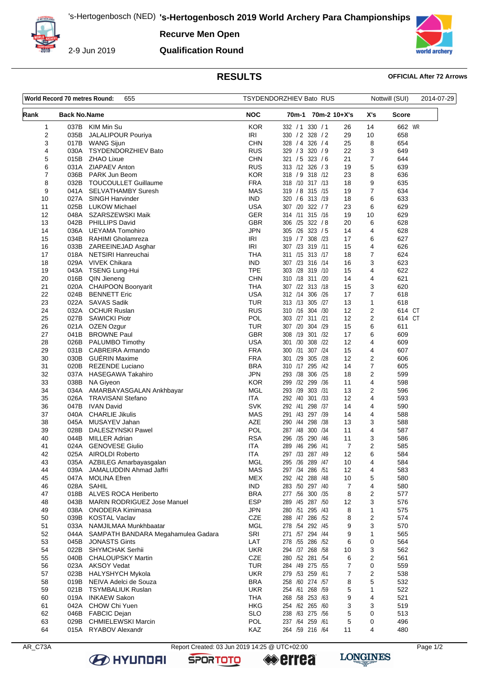**Recurve Men Open**



2-9 Jun 2019

### **Qualification Round**



## **RESULTS OFFICIAL After 72 Arrows**

| World Record 70 metres Round:<br>655 |                     | TSYDENDORZHIEV Bato RUS                      |                          |                                     |                     | Nottwill (SUI) |                | 2014-07-29   |  |
|--------------------------------------|---------------------|----------------------------------------------|--------------------------|-------------------------------------|---------------------|----------------|----------------|--------------|--|
| Rank                                 | <b>Back No.Name</b> |                                              | <b>NOC</b>               | 70m-1                               | 70m-2 10+X's        |                | X's            | <b>Score</b> |  |
| 1                                    | 037B                | KIM Min Su                                   | <b>KOR</b>               | 332 / 1                             | 330 / 1             | 26             | 14             | 662 WR       |  |
| 2                                    | 035B                | <b>JALALIPOUR Pouriya</b>                    | IRI                      | 330 / 2 328 / 2                     |                     | 29             | 10             | 658          |  |
| 3                                    | 017B                | <b>WANG Sijun</b>                            | CHN                      | 328 / 4                             | 326 / 4             | 25             | 8              | 654          |  |
| 4                                    | 030A                | <b>TSYDENDORZHIEV Bato</b>                   | <b>RUS</b>               | 329 / 3 320 / 9                     |                     | 22             | 3              | 649          |  |
| 5                                    | 015B                | <b>ZHAO Lixue</b>                            | <b>CHN</b>               | 321 / 5 323 / 6                     |                     | 21             | 7              | 644          |  |
| 6                                    |                     | 031A ZIAPAEV Anton                           | <b>RUS</b>               | 313 /12 326 / 3                     |                     | 19             | 5              | 639          |  |
| 7<br>8                               | 036B<br>032B        | PARK Jun Beom<br><b>TOUCOULLET Guillaume</b> | <b>KOR</b><br><b>FRA</b> | 318 / 9 318 / 12<br>318 /10 317 /13 |                     | 23<br>18       | 8<br>9         | 636<br>635   |  |
| 9                                    |                     | 041A SELVATHAMBY Suresh                      | <b>MAS</b>               | 319 / 8 315 /15                     |                     | 19             | $\overline{7}$ | 634          |  |
| 10                                   | 027A                | SINGH Harvinder                              | <b>IND</b>               | 320 / 6 313 /19                     |                     | 18             | 6              | 633          |  |
| 11                                   | 025B                | <b>LUKOW Michael</b>                         | USA                      | 307 /20 322 / 7                     |                     | 23             | 6              | 629          |  |
| 12                                   | 048A                | SZARSZEWSKI Maik                             | <b>GER</b>               | 314 /11 315 /16                     |                     | 19             | 10             | 629          |  |
| 13                                   | 042B                | <b>PHILLIPS David</b>                        | <b>GBR</b>               | 306 /25 322 / 8                     |                     | 20             | 6              | 628          |  |
| 14                                   | 036A                | UEYAMA Tomohiro                              | <b>JPN</b>               | 305 /26 323 / 5                     |                     | 14             | 4              | 628          |  |
| 15                                   | 034B                | RAHIMI Gholamreza                            | IRI                      | 319 / 7 308 /23                     |                     | 17             | 6              | 627          |  |
| 16                                   | 033B                | ZAREEINEJAD Asghar                           | IRI                      | 307 /23 319 /11                     |                     | 15             | 4              | 626          |  |
| 17                                   |                     | 018A NETSIRI Hanreuchai                      | THA                      | 311 /15 313 /17                     |                     | 18             | $\overline{7}$ | 624          |  |
| 18                                   | 029A                | <b>VIVEK Chikara</b>                         | <b>IND</b>               | 307 /23 316 /14                     |                     | 16             | 3              | 623          |  |
| 19                                   | 043A                | <b>TSENG Lung-Hui</b>                        | TPE                      | 303 /28 319 /10                     |                     | 15             | 4              | 622          |  |
| 20                                   | 016B                | QIN Jieneng                                  | <b>CHN</b>               | 310 /18 311 /20                     |                     | 14             | 4              | 621          |  |
| 21                                   | 020A                | CHAIPOON Boonyarit                           | <b>THA</b>               | 307 /22 313 /18                     |                     | 15             | 3<br>7         | 620          |  |
| 22<br>23                             | 024B<br>022A        | <b>BENNETT Eric</b><br><b>SAVAS Sadik</b>    | USA<br><b>TUR</b>        | 312 /14 306 /26<br>313 /13 305 /27  |                     | 17<br>13       | 1              | 618<br>618   |  |
| 24                                   | 032A                | <b>OCHUR Ruslan</b>                          | <b>RUS</b>               | 310 /16 304 /30                     |                     | 12             | 2              | 614 CT       |  |
| 25                                   | 027B                | <b>SAWICKI Piotr</b>                         | POL                      | 303 /27 311 /21                     |                     | 12             | 2              | 614 CT       |  |
| 26                                   | 021A                | OZEN Ozgur                                   | TUR                      | 307 /20                             | 304 /29             | 15             | 6              | 611          |  |
| 27                                   | 041B                | <b>BROWNE Paul</b>                           | <b>GBR</b>               | 308 /19 301 /32                     |                     | 17             | 6              | 609          |  |
| 28                                   | 026B                | PALUMBO Timothy                              | <b>USA</b>               | 301 /30                             | 308 /22             | 12             | 4              | 609          |  |
| 29                                   | 031B                | CABREIRA Armando                             | <b>FRA</b>               | 300 /31                             | 307 /24             | 15             | 4              | 607          |  |
| 30                                   | 030B                | <b>GUÉRIN Maxime</b>                         | <b>FRA</b>               | 301 /29                             | 305<br>/28          | 12             | 2              | 606          |  |
| 31                                   | 020B                | <b>REZENDE Luciano</b>                       | <b>BRA</b>               | 310 /17 295 /42                     |                     | 14             | 7              | 605          |  |
| 32                                   | 037A                | HASEGAWA Takahiro                            | JPN                      | 293 /38                             | 306 /25             | 18             | 2              | 599          |  |
| 33                                   | 038B                | <b>NA Giyeon</b>                             | <b>KOR</b>               | 299 /32 299 /36                     |                     | 11             | 4              | 598          |  |
| 34                                   | 034A                | AMARBAYASGALAN Ankhbayar                     | MGL                      | 293 /39                             | 303 /31             | 13             | 2              | 596          |  |
| 35                                   | 026A                | <b>TRAVISANI Stefano</b>                     | ITA<br><b>SVK</b>        | 292 /40                             | 301 / 33<br>298 /37 | 12             | 4              | 593          |  |
| 36<br>37                             | 047B<br>040A        | <b>IVAN David</b><br><b>CHARLIE Jikulis</b>  | <b>MAS</b>               | 292 /41<br>291 /43 297 /39          |                     | 14<br>14       | 4<br>4         | 590<br>588   |  |
| 38                                   | 045A                | MUSAYEV Jahan                                | <b>AZE</b>               | 290 /44                             | 298 /38             | 13             | 3              | 588          |  |
| 39                                   | 028B                | DALESZYNSKI Pawel                            | <b>POL</b>               | 287 /48                             | 300 /34             | 11             | 4              | 587          |  |
| 40                                   | 044B                | <b>MILLER Adrian</b>                         | <b>RSA</b>               | 296<br>/35                          | 290 /46             | 11             | 3              | 586          |  |
| 41                                   | 024A                | <b>GENOVESE Giulio</b>                       | ITA                      | 289 /46 296 /41                     |                     | $\overline{7}$ | $\overline{2}$ | 585          |  |
| 42                                   |                     | 025A AIROLDI Roberto                         | ITA                      | 297 /33 287 /49                     |                     | 12             | 6              | 584          |  |
| 43                                   | 035A                | AZBILEG Amarbayasgalan                       | <b>MGL</b>               | 295 /36 289 /47                     |                     | 10             | 4              | 584          |  |
| 44                                   | 039A                | JAMALUDDIN Ahmad Jaffri                      | <b>MAS</b>               | 297 /34 286 /51                     |                     | 12             | 4              | 583          |  |
| 45                                   | 047A                | <b>MOLINA Efren</b>                          | MEX                      | 292 /42 288 /48                     |                     | 10             | 5              | 580          |  |
| 46                                   | 028A                | SAHIL                                        | <b>IND</b>               | 283 /50 297 /40                     |                     | 7              | 4              | 580          |  |
| 47                                   | 018B                | ALVES ROCA Heriberto                         | <b>BRA</b>               | 277 /56 300 /35                     |                     | 8              | 2              | 577          |  |
| 48                                   | 043B                | MARIN RODRIGUEZ Jose Manuel                  | <b>ESP</b>               | 289 /45 287 /50                     |                     | 12             | 3              | 576          |  |
| 49                                   | 038A<br>039B        | ONODERA Kimimasa<br><b>KOSTAL Vaclav</b>     | <b>JPN</b><br><b>CZE</b> | 280 /51<br>288 /47 286 /52          | 295 /43             | 8<br>8         | 1<br>2         | 575<br>574   |  |
| 50<br>51                             | 033A                | NAMJILMAA Munkhbaatar                        | MGL                      | 278 /54 292 /45                     |                     | 9              | 3              | 570          |  |
| 52                                   | 044A                | SAMPATH BANDARA Megahamulea Gadara           | SRI                      | 271 /57 294 /44                     |                     | 9              | 1              | 565          |  |
| 53                                   | 045B                | <b>JONASTS Gints</b>                         | LAT                      | 278 /55 286 /52                     |                     | 6              | 0              | 564          |  |
| 54                                   | 022B                | <b>SHYMCHAK Serhii</b>                       | <b>UKR</b>               | 294 /37 268 /58                     |                     | 10             | 3              | 562          |  |
| 55                                   | 040B                | <b>CHALOUPSKY Martin</b>                     | <b>CZE</b>               | 280 /52 281 /54                     |                     | 6              | 2              | 561          |  |
| 56                                   | 023A                | <b>AKSOY Vedat</b>                           | <b>TUR</b>               | 284 /49 275 /55                     |                     | 7              | 0              | 559          |  |
| 57                                   | 023B                | <b>HALYSHYCH Mykola</b>                      | <b>UKR</b>               | 279 /53 259 /61                     |                     | 7              | 2              | 538          |  |
| 58                                   | 019B                | NEIVA Adelci de Souza                        | <b>BRA</b>               | 258 /60 274 /57                     |                     | 8              | 5              | 532          |  |
| 59                                   | 021B                | TSYMBALIUK Ruslan                            | <b>UKR</b>               | 254 /61 268 /59                     |                     | 5              | 1              | 522          |  |
| 60                                   | 019A                | <b>INKAEW Sakon</b>                          | <b>THA</b>               | 268 /58 253 /63                     |                     | 9              | 4              | 521          |  |
| 61                                   | 042A                | CHOW Chi Yuen                                | HKG                      | 254 /62 265 /60                     |                     | 3              | 3              | 519          |  |
| 62                                   | 046B                | <b>FABCIC Dejan</b>                          | <b>SLO</b>               | 238 /63 275 /56                     |                     | 5              | 0              | 513          |  |
| 63                                   | 029B                | <b>CHMIELEWSKI Marcin</b>                    | POL                      | 237 /64 259 /61                     |                     | 5              | 0              | 496          |  |
| 64                                   |                     | 015A RYABOV Alexandr                         | KAZ                      | 264 /59 216 /64                     |                     | 11             | 4              | 480          |  |

**B** HYUNDAI

AR\_C73A Report Created: 03 Jun 2019 14:25 @ UTC+02:00 Page 1/2

**SPORTOTO** 

**errea** 

**LONGINES**